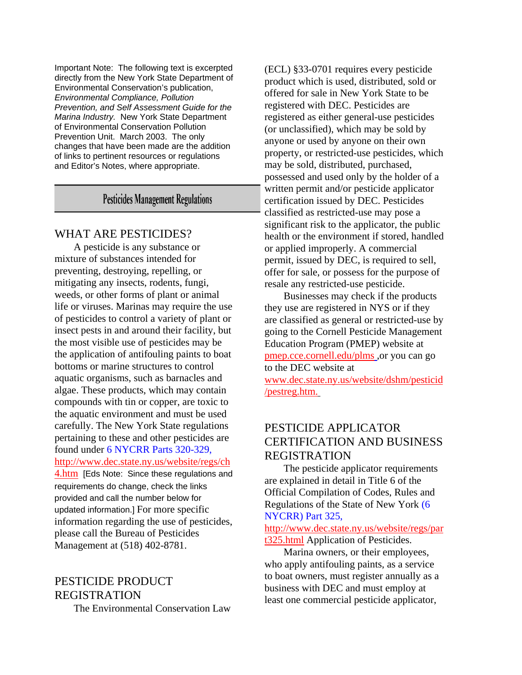Important Note: The following text is excerpted directly from the New York State Department of Environmental Conservation's publication, *Environmental Compliance, Pollution Prevention, and Self Assessment Guide for the Marina Industry.* New York State Department of Environmental Conservation Pollution Prevention Unit. March 2003. The only changes that have been made are the addition of links to pertinent resources or regulations and Editor's Notes, where appropriate.

### **Pesticides Management Regulations**

#### WHAT ARE PESTICIDES?

A pesticide is any substance or mixture of substances intended for preventing, destroying, repelling, or mitigating any insects, rodents, fungi, weeds, or other forms of plant or animal life or viruses. Marinas may require the use of pesticides to control a variety of plant or insect pests in and around their facility, but the most visible use of pesticides may be the application of antifouling paints to boat bottoms or marine structures to control aquatic organisms, such as barnacles and algae. These products, which may contain compounds with tin or copper, are toxic to the aquatic environment and must be used carefully. The New York State regulations pertaining to these and other pesticides are found under 6 NYCRR Parts 320-329, [http://www.dec.state.ny.us/website/regs/ch](http://www.dec.state.ny.us/website/regs/ch4.htm) [4.htm](http://www.dec.state.ny.us/website/regs/ch4.htm) [Eds Note: Since these regulations and requirements do change, check the links provided and call the number below for updated information.] For more specific information regarding the use of pesticides, please call the Bureau of Pesticides Management at (518) 402-8781.

# PESTICIDE PRODUCT REGISTRATION

The Environmental Conservation Law

(ECL) §33-0701 requires every pesticide product which is used, distributed, sold or offered for sale in New York State to be registered with DEC. Pesticides are registered as either general-use pesticides (or unclassified), which may be sold by anyone or used by anyone on their own property, or restricted-use pesticides, which may be sold, distributed, purchased, possessed and used only by the holder of a written permit and/or pesticide applicator certification issued by DEC. Pesticides classified as restricted-use may pose a significant risk to the applicator, the public health or the environment if stored, handled or applied improperly. A commercial permit, issued by DEC, is required to sell, offer for sale, or possess for the purpose of resale any restricted-use pesticide.

Businesses may check if the products they use are registered in NYS or if they are classified as general or restricted-use by going to the Cornell Pesticide Management Education Program (PMEP) website at pmep.cce.cornell.edu/plms ,or you can go to the DEC website at www.dec.state.ny.us/website/dshm/pesticid /pestreg.htm.

### PESTICIDE APPLICATOR CERTIFICATION AND BUSINESS REGISTRATION

The pesticide applicator requirements are explained in detail in Title 6 of the Official Compilation of Codes, Rules and Regulations of the State of New York (6 NYCRR) Part 325,

[http://www.dec.state.ny.us/website/regs/par](http://www.dec.state.ny.us/website/regs/part325.html) [t325.html](http://www.dec.state.ny.us/website/regs/part325.html) Application of Pesticides.

Marina owners, or their employees, who apply antifouling paints, as a service to boat owners, must register annually as a business with DEC and must employ at least one commercial pesticide applicator,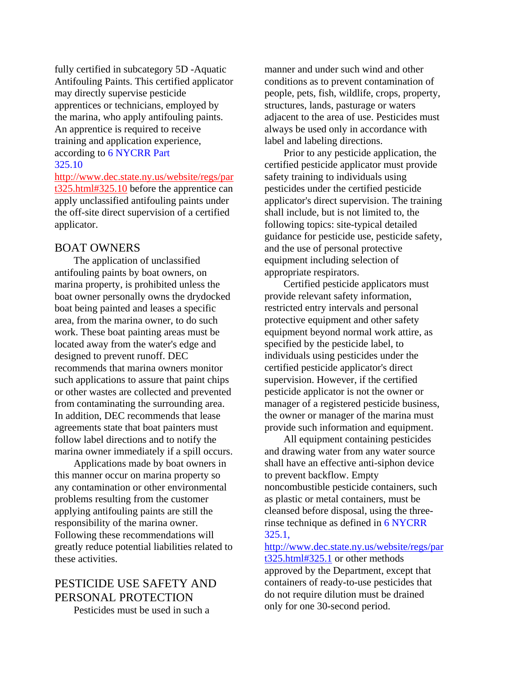fully certified in subcategory 5D -Aquatic Antifouling Paints. This certified applicator may directly supervise pesticide apprentices or technicians, employed by the marina, who apply antifouling paints. An apprentice is required to receive training and application experience, according to 6 NYCRR Part 325.10

[http://www.dec.state.ny.us/website/regs/par](http://www.dec.state.ny.us/website/regs/part325.html#325.10) [t325.html#325.10](http://www.dec.state.ny.us/website/regs/part325.html#325.10) before the apprentice can apply unclassified antifouling paints under the off-site direct supervision of a certified applicator.

#### BOAT OWNERS

The application of unclassified antifouling paints by boat owners, on marina property, is prohibited unless the boat owner personally owns the drydocked boat being painted and leases a specific area, from the marina owner, to do such work. These boat painting areas must be located away from the water's edge and designed to prevent runoff. DEC recommends that marina owners monitor such applications to assure that paint chips or other wastes are collected and prevented from contaminating the surrounding area. In addition, DEC recommends that lease agreements state that boat painters must follow label directions and to notify the marina owner immediately if a spill occurs.

Applications made by boat owners in this manner occur on marina property so any contamination or other environmental problems resulting from the customer applying antifouling paints are still the responsibility of the marina owner. Following these recommendations will greatly reduce potential liabilities related to these activities.

## PESTICIDE USE SAFETY AND PERSONAL PROTECTION

Pesticides must be used in such a

manner and under such wind and other conditions as to prevent contamination of people, pets, fish, wildlife, crops, property, structures, lands, pasturage or waters adjacent to the area of use. Pesticides must always be used only in accordance with label and labeling directions.

Prior to any pesticide application, the certified pesticide applicator must provide safety training to individuals using pesticides under the certified pesticide applicator's direct supervision. The training shall include, but is not limited to, the following topics: site-typical detailed guidance for pesticide use, pesticide safety, and the use of personal protective equipment including selection of appropriate respirators.

Certified pesticide applicators must provide relevant safety information, restricted entry intervals and personal protective equipment and other safety equipment beyond normal work attire, as specified by the pesticide label, to individuals using pesticides under the certified pesticide applicator's direct supervision. However, if the certified pesticide applicator is not the owner or manager of a registered pesticide business, the owner or manager of the marina must provide such information and equipment.

All equipment containing pesticides and drawing water from any water source shall have an effective anti-siphon device to prevent backflow. Empty noncombustible pesticide containers, such as plastic or metal containers, must be cleansed before disposal, using the threerinse technique as defined in 6 NYCRR 325.1,

[http://www.dec.state.ny.us/website/regs/par](http://www.dec.state.ny.us/website/regs/part325.html#325.1) [t325.html#325.1](http://www.dec.state.ny.us/website/regs/part325.html#325.1) or other methods approved by the Department, except that containers of ready-to-use pesticides that do not require dilution must be drained only for one 30-second period.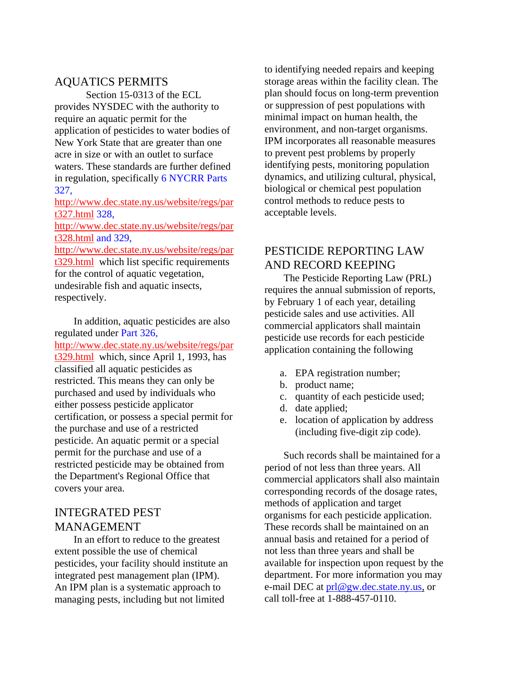### AQUATICS PERMITS

Section 15-0313 of the ECL provides NYSDEC with the authority to require an aquatic permit for the application of pesticides to water bodies of New York State that are greater than one acre in size or with an outlet to surface waters. These standards are further defined in regulation, specifically 6 NYCRR Parts 327,

[http://www.dec.state.ny.us/website/regs/par](http://www.dec.state.ny.us/website/regs/part327.html) [t327.html](http://www.dec.state.ny.us/website/regs/part327.html) 328,

[http://www.dec.state.ny.us/website/regs/par](http://www.dec.state.ny.us/website/regs/part328.html) [t328.html](http://www.dec.state.ny.us/website/regs/part328.html) and 329,

[http://www.dec.state.ny.us/website/regs/par](http://www.dec.state.ny.us/website/regs/part329.html) [t329.html](http://www.dec.state.ny.us/website/regs/part329.html) which list specific requirements for the control of aquatic vegetation, undesirable fish and aquatic insects, respectively.

In addition, aquatic pesticides are also regulated under Part 326, [http://www.dec.state.ny.us/website/regs/par](http://www.dec.state.ny.us/website/regs/part329.html) [t329.html](http://www.dec.state.ny.us/website/regs/part329.html) which, since April 1, 1993, has classified all aquatic pesticides as restricted. This means they can only be purchased and used by individuals who either possess pesticide applicator certification, or possess a special permit for the purchase and use of a restricted pesticide. An aquatic permit or a special permit for the purchase and use of a restricted pesticide may be obtained from the Department's Regional Office that covers your area.

### INTEGRATED PEST MANAGEMENT

In an effort to reduce to the greatest extent possible the use of chemical pesticides, your facility should institute an integrated pest management plan (IPM). An IPM plan is a systematic approach to managing pests, including but not limited

to identifying needed repairs and keeping storage areas within the facility clean. The plan should focus on long-term prevention or suppression of pest populations with minimal impact on human health, the environment, and non-target organisms. IPM incorporates all reasonable measures to prevent pest problems by properly identifying pests, monitoring population dynamics, and utilizing cultural, physical, biological or chemical pest population control methods to reduce pests to acceptable levels.

## PESTICIDE REPORTING LAW AND RECORD KEEPING

The Pesticide Reporting Law (PRL) requires the annual submission of reports, by February 1 of each year, detailing pesticide sales and use activities. All commercial applicators shall maintain pesticide use records for each pesticide application containing the following

- a. EPA registration number;
- b. product name;
- c. quantity of each pesticide used;
- d. date applied;
- e. location of application by address (including five-digit zip code).

Such records shall be maintained for a period of not less than three years. All commercial applicators shall also maintain corresponding records of the dosage rates, methods of application and target organisms for each pesticide application. These records shall be maintained on an annual basis and retained for a period of not less than three years and shall be available for inspection upon request by the department. For more information you may e-mail DEC at [prl@gw.dec.state.ny.us](mailto:prl@gw.dec.state.ny.us), or call toll-free at 1-888-457-0110.